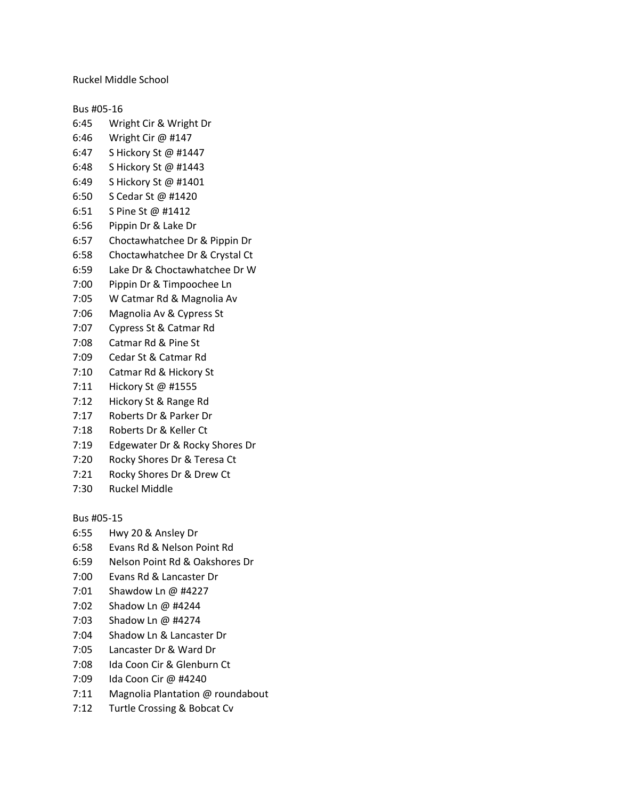Ruckel Middle School

Bus #05-16

- 6:45 Wright Cir & Wright Dr
- 6:46 Wright Cir @ #147
- 6:47 S Hickory St @ #1447
- 6:48 S Hickory St @ #1443
- 6:49 S Hickory St @ #1401
- 6:50 S Cedar St @ #1420
- 6:51 S Pine St @ #1412
- 6:56 Pippin Dr & Lake Dr
- 6:57 Choctawhatchee Dr & Pippin Dr
- 6:58 Choctawhatchee Dr & Crystal Ct
- 6:59 Lake Dr & Choctawhatchee Dr W
- 7:00 Pippin Dr & Timpoochee Ln
- 7:05 W Catmar Rd & Magnolia Av
- 7:06 Magnolia Av & Cypress St
- 7:07 Cypress St & Catmar Rd
- 7:08 Catmar Rd & Pine St
- 7:09 Cedar St & Catmar Rd
- 7:10 Catmar Rd & Hickory St
- 7:11 Hickory St @ #1555
- 7:12 Hickory St & Range Rd
- 7:17 Roberts Dr & Parker Dr
- 7:18 Roberts Dr & Keller Ct
- 7:19 Edgewater Dr & Rocky Shores Dr
- 7:20 Rocky Shores Dr & Teresa Ct
- 7:21 Rocky Shores Dr & Drew Ct
- 7:30 Ruckel Middle

Bus #05-15

- 6:55 Hwy 20 & Ansley Dr
- 6:58 Evans Rd & Nelson Point Rd
- 6:59 Nelson Point Rd & Oakshores Dr
- 7:00 Evans Rd & Lancaster Dr
- 7:01 Shawdow Ln @ #4227
- 7:02 Shadow Ln @ #4244
- 7:03 Shadow Ln @ #4274
- 7:04 Shadow Ln & Lancaster Dr
- 7:05 Lancaster Dr & Ward Dr
- 7:08 Ida Coon Cir & Glenburn Ct
- 7:09 Ida Coon Cir @ #4240
- 7:11 Magnolia Plantation @ roundabout
- 7:12 Turtle Crossing & Bobcat Cv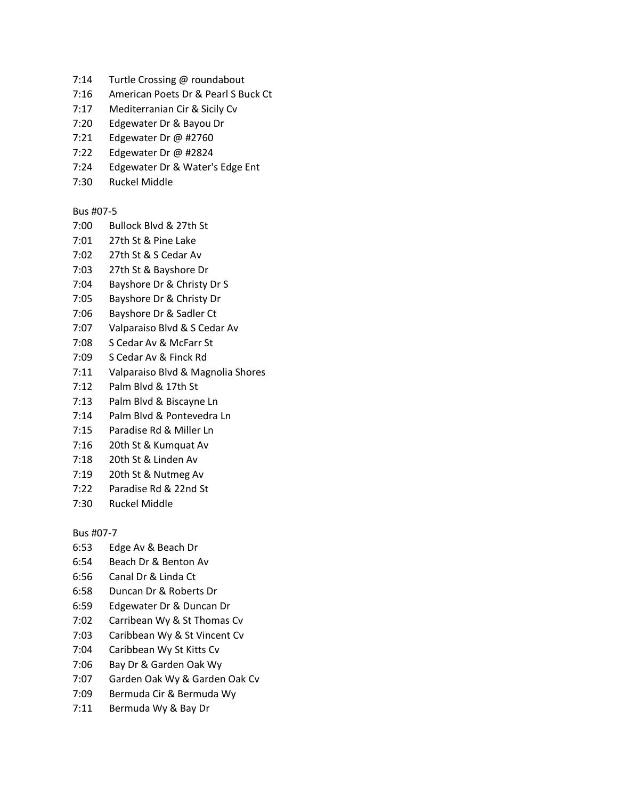- 7:14 Turtle Crossing @ roundabout
- 7:16 American Poets Dr & Pearl S Buck Ct
- 7:17 Mediterranian Cir & Sicily Cv
- 7:20 Edgewater Dr & Bayou Dr
- 7:21 Edgewater Dr @ #2760
- 7:22 Edgewater Dr @ #2824
- 7:24 Edgewater Dr & Water's Edge Ent
- 7:30 Ruckel Middle

# Bus #07-5

- 7:00 Bullock Blvd & 27th St
- 7:01 27th St & Pine Lake
- 7:02 27th St & S Cedar Av
- 7:03 27th St & Bayshore Dr
- 7:04 Bayshore Dr & Christy Dr S
- 7:05 Bayshore Dr & Christy Dr
- 7:06 Bayshore Dr & Sadler Ct
- 7:07 Valparaiso Blvd & S Cedar Av
- 7:08 S Cedar Av & McFarr St
- 7:09 S Cedar Av & Finck Rd
- 7:11 Valparaiso Blvd & Magnolia Shores
- 7:12 Palm Blvd & 17th St
- 7:13 Palm Blvd & Biscayne Ln
- 7:14 Palm Blvd & Pontevedra Ln
- 7:15 Paradise Rd & Miller Ln
- 7:16 20th St & Kumquat Av
- 7:18 20th St & Linden Av
- 7:19 20th St & Nutmeg Av
- 7:22 Paradise Rd & 22nd St
- 7:30 Ruckel Middle

### Bus #07-7

- 6:53 Edge Av & Beach Dr
- 6:54 Beach Dr & Benton Av
- 6:56 Canal Dr & Linda Ct
- 6:58 Duncan Dr & Roberts Dr
- 6:59 Edgewater Dr & Duncan Dr
- 7:02 Carribean Wy & St Thomas Cv
- 7:03 Caribbean Wy & St Vincent Cv
- 7:04 Caribbean Wy St Kitts Cv
- 7:06 Bay Dr & Garden Oak Wy
- 7:07 Garden Oak Wy & Garden Oak Cv
- 7:09 Bermuda Cir & Bermuda Wy
- 7:11 Bermuda Wy & Bay Dr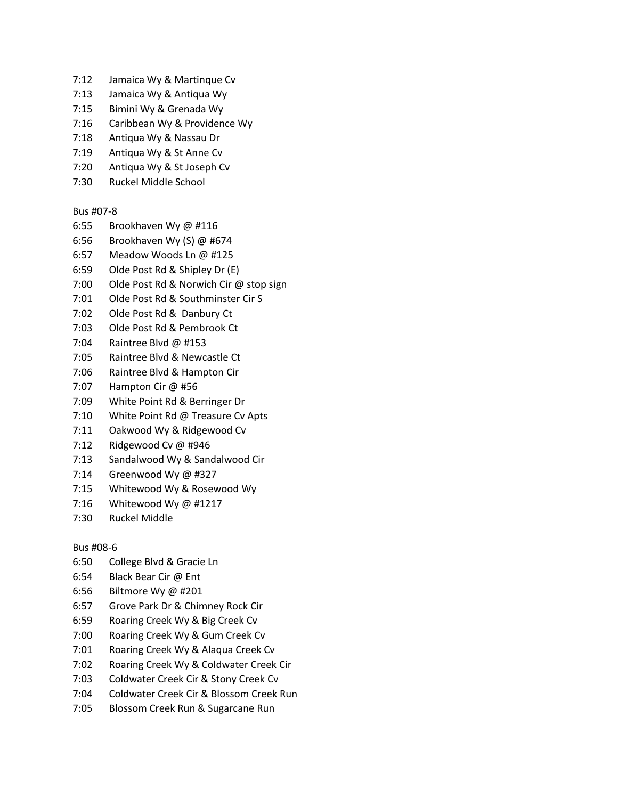- 7:12 Jamaica Wy & Martinque Cv
- 7:13 Jamaica Wy & Antiqua Wy
- 7:15 Bimini Wy & Grenada Wy
- 7:16 Caribbean Wy & Providence Wy
- 7:18 Antiqua Wy & Nassau Dr
- 7:19 Antiqua Wy & St Anne Cv
- 7:20 Antiqua Wy & St Joseph Cv
- 7:30 Ruckel Middle School

# Bus #07-8

- 6:55 Brookhaven Wy @ #116
- 6:56 Brookhaven Wy (S) @ #674
- 6:57 Meadow Woods Ln @ #125
- 6:59 Olde Post Rd & Shipley Dr (E)
- 7:00 Olde Post Rd & Norwich Cir @ stop sign
- 7:01 Olde Post Rd & Southminster Cir S
- 7:02 Olde Post Rd & Danbury Ct
- 7:03 Olde Post Rd & Pembrook Ct
- 7:04 Raintree Blvd @ #153
- 7:05 Raintree Blvd & Newcastle Ct
- 7:06 Raintree Blvd & Hampton Cir
- 7:07 Hampton Cir @ #56
- 7:09 White Point Rd & Berringer Dr
- 7:10 White Point Rd @ Treasure Cv Apts
- 7:11 Oakwood Wy & Ridgewood Cv
- 7:12 Ridgewood Cv @ #946
- 7:13 Sandalwood Wy & Sandalwood Cir
- 7:14 Greenwood Wy @ #327
- 7:15 Whitewood Wy & Rosewood Wy
- 7:16 Whitewood Wy @ #1217
- 7:30 Ruckel Middle

### Bus #08-6

- 6:50 College Blvd & Gracie Ln
- 6:54 Black Bear Cir @ Ent
- 6:56 Biltmore Wy @ #201
- 6:57 Grove Park Dr & Chimney Rock Cir
- 6:59 Roaring Creek Wy & Big Creek Cv
- 7:00 Roaring Creek Wy & Gum Creek Cv
- 7:01 Roaring Creek Wy & Alaqua Creek Cv
- 7:02 Roaring Creek Wy & Coldwater Creek Cir
- 7:03 Coldwater Creek Cir & Stony Creek Cv
- 7:04 Coldwater Creek Cir & Blossom Creek Run
- 7:05 Blossom Creek Run & Sugarcane Run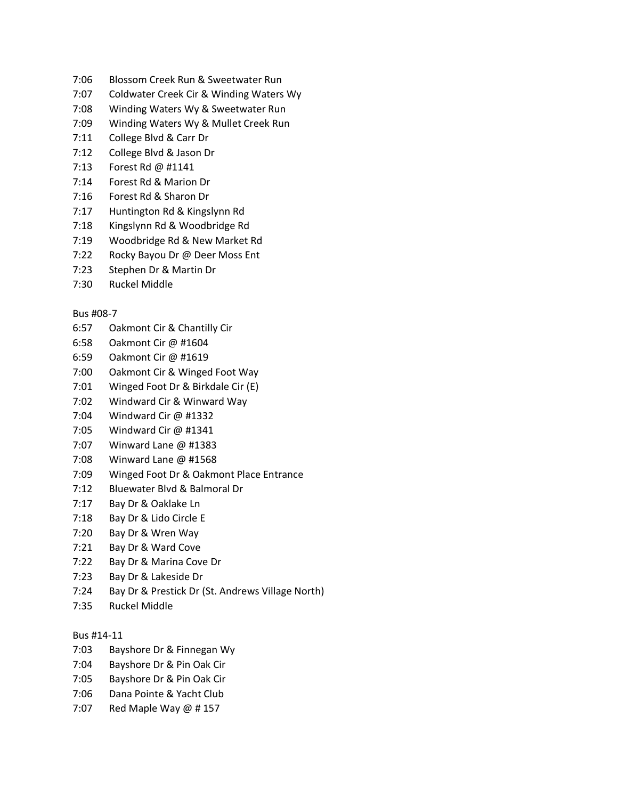- 7:06 Blossom Creek Run & Sweetwater Run
- 7:07 Coldwater Creek Cir & Winding Waters Wy
- 7:08 Winding Waters Wy & Sweetwater Run
- 7:09 Winding Waters Wy & Mullet Creek Run
- 7:11 College Blvd & Carr Dr
- 7:12 College Blvd & Jason Dr
- 7:13 Forest Rd @ #1141
- 7:14 Forest Rd & Marion Dr
- 7:16 Forest Rd & Sharon Dr
- 7:17 Huntington Rd & Kingslynn Rd
- 7:18 Kingslynn Rd & Woodbridge Rd
- 7:19 Woodbridge Rd & New Market Rd
- 7:22 Rocky Bayou Dr @ Deer Moss Ent
- 7:23 Stephen Dr & Martin Dr
- 7:30 Ruckel Middle

### Bus #08-7

- 6:57 Oakmont Cir & Chantilly Cir
- 6:58 Oakmont Cir @ #1604
- 6:59 Oakmont Cir @ #1619
- 7:00 Oakmont Cir & Winged Foot Way
- 7:01 Winged Foot Dr & Birkdale Cir (E)
- 7:02 Windward Cir & Winward Way
- 7:04 Windward Cir @ #1332
- 7:05 Windward Cir @ #1341
- 7:07 Winward Lane @ #1383
- 7:08 Winward Lane @ #1568
- 7:09 Winged Foot Dr & Oakmont Place Entrance
- 7:12 Bluewater Blvd & Balmoral Dr
- 7:17 Bay Dr & Oaklake Ln
- 7:18 Bay Dr & Lido Circle E
- 7:20 Bay Dr & Wren Way
- 7:21 Bay Dr & Ward Cove
- 7:22 Bay Dr & Marina Cove Dr
- 7:23 Bay Dr & Lakeside Dr
- 7:24 Bay Dr & Prestick Dr (St. Andrews Village North)
- 7:35 Ruckel Middle

## Bus #14-11

- 7:03 Bayshore Dr & Finnegan Wy
- 7:04 Bayshore Dr & Pin Oak Cir
- 7:05 Bayshore Dr & Pin Oak Cir
- 7:06 Dana Pointe & Yacht Club
- 7:07 Red Maple Way @ # 157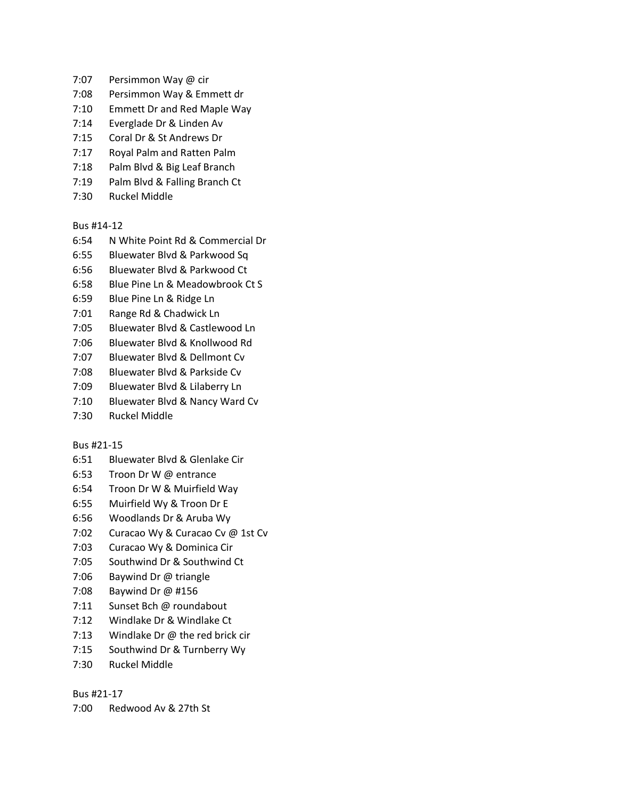- 7:07 Persimmon Way @ cir
- 7:08 Persimmon Way & Emmett dr
- 7:10 Emmett Dr and Red Maple Way
- 7:14 Everglade Dr & Linden Av
- 7:15 Coral Dr & St Andrews Dr
- 7:17 Royal Palm and Ratten Palm
- 7:18 Palm Blvd & Big Leaf Branch
- 7:19 Palm Blvd & Falling Branch Ct
- 7:30 Ruckel Middle

Bus #14-12

- 6:54 N White Point Rd & Commercial Dr
- 6:55 Bluewater Blvd & Parkwood Sq
- 6:56 Bluewater Blvd & Parkwood Ct
- 6:58 Blue Pine Ln & Meadowbrook Ct S
- 6:59 Blue Pine Ln & Ridge Ln
- 7:01 Range Rd & Chadwick Ln
- 7:05 Bluewater Blvd & Castlewood Ln
- 7:06 Bluewater Blvd & Knollwood Rd
- 7:07 Bluewater Blvd & Dellmont Cv
- 7:08 Bluewater Blvd & Parkside Cv
- 7:09 Bluewater Blvd & Lilaberry Ln
- 7:10 Bluewater Blvd & Nancy Ward Cv
- 7:30 Ruckel Middle

### Bus #21-15

- 6:51 Bluewater Blvd & Glenlake Cir
- 6:53 Troon Dr W @ entrance
- 6:54 Troon Dr W & Muirfield Way
- 6:55 Muirfield Wy & Troon Dr E
- 6:56 Woodlands Dr & Aruba Wy
- 7:02 Curacao Wy & Curacao Cv @ 1st Cv
- 7:03 Curacao Wy & Dominica Cir
- 7:05 Southwind Dr & Southwind Ct
- 7:06 Baywind Dr @ triangle
- 7:08 Baywind Dr @ #156
- 7:11 Sunset Bch @ roundabout
- 7:12 Windlake Dr & Windlake Ct
- 7:13 Windlake Dr @ the red brick cir
- 7:15 Southwind Dr & Turnberry Wy
- 7:30 Ruckel Middle

### Bus #21-17

7:00 Redwood Av & 27th St